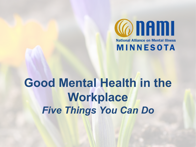

# **Good Mental Health in the Workplace** *Five Things You Can Do*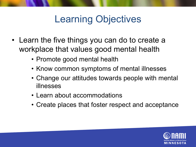## Learning Objectives

- Learn the five things you can do to create a workplace that values good mental health
	- Promote good mental health
	- Know common symptoms of mental illnesses
	- Change our attitudes towards people with mental illnesses
	- Learn about accommodations
	- Create places that foster respect and acceptance

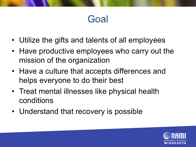#### Goal

- Utilize the gifts and talents of all employees
- Have productive employees who carry out the mission of the organization
- Have a culture that accepts differences and helps everyone to do their best
- Treat mental illnesses like physical health conditions
- Understand that recovery is possible

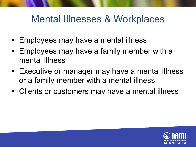#### Mental Illnesses & Workplaces

- Employees may have a mental illness
- Employees may have a family member with a mental illness
- Executive or manager may have a mental illness or a family member with a mental illness
- Clients or customers may have a mental illness

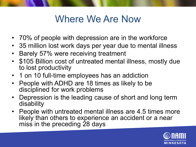#### Where We Are Now

- 70% of people with depression are in the workforce
- 35 million lost work days per year due to mental illness
- Barely 57% were receiving treatment
- \$105 Billion cost of untreated mental illness, mostly due to lost productivity
- 1 on 10 full-time employees has an addiction
- People with ADHD are 18 times as likely to be disciplined for work problems
- Depression is the leading cause of short and long term disability
- People with untreated mental illness are 4.5 times more likely than others to experience an accident or a near miss in the preceding 28 days

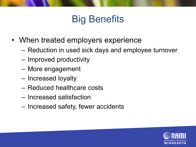## Big Benefits

- When treated employers experience
	- Reduction in used sick days and employee turnover
	- Improved productivity
	- More engagement
	- Increased loyalty
	- Reduced healthcare costs
	- Increased satisfaction
	- Increased safety, fewer accidents

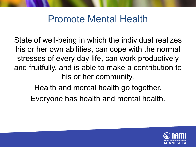#### Promote Mental Health

State of well-being in which the individual realizes his or her own abilities, can cope with the normal stresses of every day life, can work productively and fruitfully, and is able to make a contribution to his or her community.

Health and mental health go together.

Everyone has health and mental health.

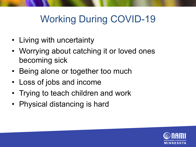## Working During COVID-19

- Living with uncertainty
- Worrying about catching it or loved ones becoming sick
- Being alone or together too much
- Loss of jobs and income
- Trying to teach children and work
- Physical distancing is hard

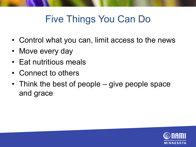## Five Things You Can Do

- Control what you can, limit access to the news
- Move every day
- Eat nutritious meals
- Connect to others
- Think the best of people give people space and grace

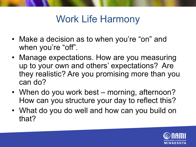#### Work Life Harmony

- Make a decision as to when you're "on" and when you're "off".
- Manage expectations. How are you measuring up to your own and others' expectations? Are they realistic? Are you promising more than you can do?
- When do you work best morning, afternoon? How can you structure your day to reflect this?
- What do you do well and how can you build on that?

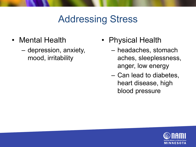- Mental Health
	- depression, anxiety, mood, irritability
- Physical Health
	- headaches, stomach aches, sleeplessness, anger, low energy
	- Can lead to diabetes, heart disease, high blood pressure

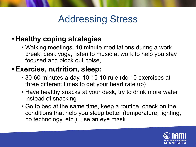#### • **Healthy coping strategies**

• Walking meetings, 10 minute meditations during a work break, desk yoga, listen to music at work to help you stay focused and block out noise,

#### • **Exercise, nutrition, sleep:**

- 30-60 minutes a day, 10-10-10 rule (do 10 exercises at three different times to get your heart rate up)
- Have healthy snacks at your desk, try to drink more water instead of snacking
- Go to bed at the same time, keep a routine, check on the conditions that help you sleep better (temperature, lighting, no technology, etc.), use an eye mask

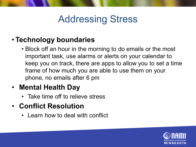#### • **Technology boundaries**

• Block off an hour in the morning to do emails or the most important task, use alarms or alerts on your calendar to keep you on track, there are apps to allow you to set a time frame of how much you are able to use them on your phone, no emails after 6 pm

#### • **Mental Health Day**

Take time off to relieve stress

#### • **Conflict Resolution**

• Learn how to deal with conflict

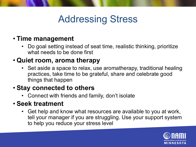#### • **Time management**

• Do goal setting instead of seat time, realistic thinking, prioritize what needs to be done first

#### • **Quiet room, aroma therapy**

• Set aside a space to relax, use aromatherapy, traditional healing practices, take time to be grateful, share and celebrate good things that happen

#### • **Stay connected to others**

• Connect with friends and family, don't isolate

#### • **Seek treatment**

• Get help and know what resources are available to you at work, tell your manager if you are struggling. Use your support system to help you reduce your stress level

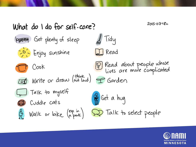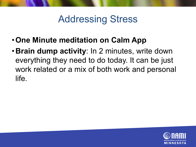- •**One Minute meditation on Calm App**
- •**Brain dump activity**: In 2 minutes, write down everything they need to do today. It can be just work related or a mix of both work and personal life.

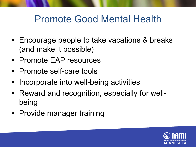#### Promote Good Mental Health

- Encourage people to take vacations & breaks (and make it possible)
- Promote EAP resources
- Promote self-care tools
- Incorporate into well-being activities
- Reward and recognition, especially for wellbeing
- Provide manager training

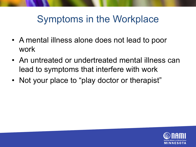#### Symptoms in the Workplace

- A mental illness alone does not lead to poor work
- An untreated or undertreated mental illness can lead to symptoms that interfere with work
- Not your place to "play doctor or therapist"

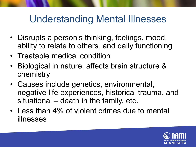#### Understanding Mental Illnesses

- Disrupts a person's thinking, feelings, mood, ability to relate to others, and daily functioning
- Treatable medical condition
- Biological in nature, affects brain structure & chemistry
- Causes include genetics, environmental, negative life experiences, historical trauma, and situational – death in the family, etc.
- Less than 4% of violent crimes due to mental illnesses

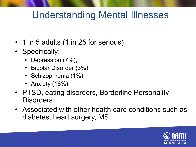#### Understanding Mental Illnesses

- 1 in 5 adults (1 in 25 for serious)
- Specifically:
	- Depression (7%),
	- Bipolar Disorder (3%)
	- Schizophrenia (1%)
	- Anxiety (18%)
- PTSD, eating disorders, Borderline Personality **Disorders**
- Associated with other health care conditions such as diabetes, heart surgery, MS

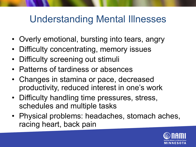#### Understanding Mental Illnesses

- Overly emotional, bursting into tears, angry
- Difficulty concentrating, memory issues
- Difficulty screening out stimuli
- Patterns of tardiness or absences
- Changes in stamina or pace, decreased productivity, reduced interest in one's work
- Difficulty handling time pressures, stress, schedules and multiple tasks
- Physical problems: headaches, stomach aches, racing heart, back pain

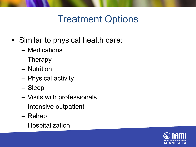#### Treatment Options

- Similar to physical health care:
	- Medications
	- Therapy
	- Nutrition
	- Physical activity
	- Sleep
	- Visits with professionals
	- Intensive outpatient
	- Rehab
	- Hospitalization

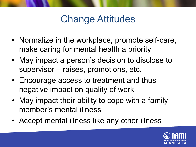#### Change Attitudes

- Normalize in the workplace, promote self-care, make caring for mental health a priority
- May impact a person's decision to disclose to supervisor – raises, promotions, etc.
- Encourage access to treatment and thus negative impact on quality of work
- May impact their ability to cope with a family member's mental illness
- Accept mental illness like any other illness

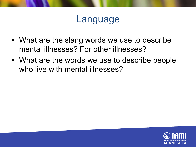#### Language

- What are the slang words we use to describe mental illnesses? For other illnesses?
- What are the words we use to describe people who live with mental illnesses?

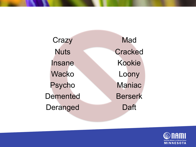Crazy Mad Nuts Cracked Insane Kookie Wacko Loony Psycho Maniac Demented Berserk Deranged Daft

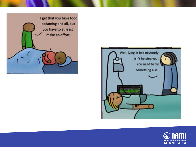



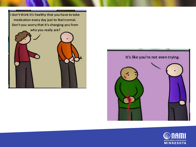



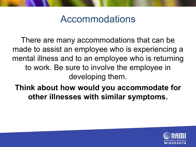#### Accommodations

There are many accommodations that can be made to assist an employee who is experiencing a mental illness and to an employee who is returning to work. Be sure to involve the employee in developing them.

**Think about how would you accommodate for other illnesses with similar symptoms.** 

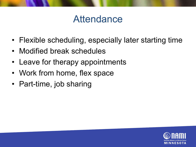#### Attendance

- Flexible scheduling, especially later starting time
- Modified break schedules
- Leave for therapy appointments
- Work from home, flex space
- Part-time, job sharing

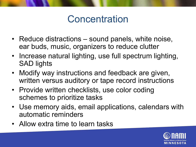#### **Concentration**

- Reduce distractions sound panels, white noise, ear buds, music, organizers to reduce clutter
- Increase natural lighting, use full spectrum lighting, SAD lights
- Modify way instructions and feedback are given, written versus auditory or tape record instructions
- Provide written checklists, use color coding schemes to prioritize tasks
- Use memory aids, email applications, calendars with automatic reminders
- Allow extra time to learn tasks

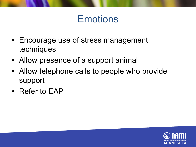#### **Emotions**

- Encourage use of stress management techniques
- Allow presence of a support animal
- Allow telephone calls to people who provide support
- Refer to EAP

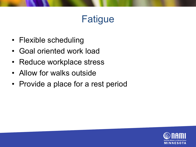## Fatigue

- Flexible scheduling
- Goal oriented work load
- Reduce workplace stress
- Allow for walks outside
- Provide a place for a rest period

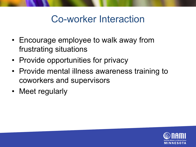#### Co-worker Interaction

- Encourage employee to walk away from frustrating situations
- Provide opportunities for privacy
- Provide mental illness awareness training to coworkers and supervisors
- Meet regularly

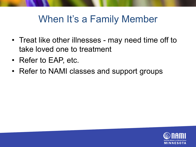#### When It's a Family Member

- Treat like other illnesses may need time off to take loved one to treatment
- Refer to EAP, etc.
- Refer to NAMI classes and support groups

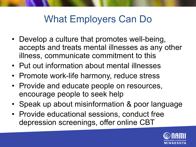#### What Employers Can Do

- Develop a culture that promotes well-being, accepts and treats mental illnesses as any other illness, communicate commitment to this
- Put out information about mental illnesses
- Promote work-life harmony, reduce stress
- Provide and educate people on resources, encourage people to seek help
- Speak up about misinformation & poor language
- Provide educational sessions, conduct free depression screenings, offer online CBT

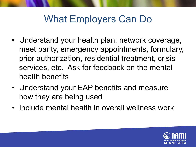#### What Employers Can Do

- Understand your health plan: network coverage, meet parity, emergency appointments, formulary, prior authorization, residential treatment, crisis services, etc. Ask for feedback on the mental health benefits
- Understand your EAP benefits and measure how they are being used
- Include mental health in overall wellness work

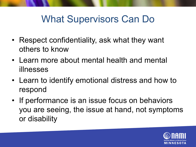#### What Supervisors Can Do

- Respect confidentiality, ask what they want others to know
- Learn more about mental health and mental illnesses
- Learn to identify emotional distress and how to respond
- If performance is an issue focus on behaviors you are seeing, the issue at hand, not symptoms or disability

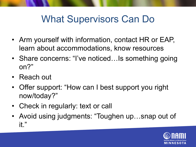#### What Supervisors Can Do

- Arm yourself with information, contact HR or EAP, learn about accommodations, know resources
- Share concerns: "I've noticed...Is something going on?"
- Reach out
- Offer support: "How can I best support you right now/today?"
- Check in regularly: text or call
- Avoid using judgments: "Toughen up...snap out of it."

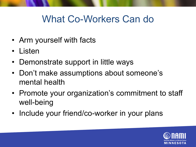#### What Co-Workers Can do

- Arm yourself with facts
- Listen
- Demonstrate support in little ways
- Don't make assumptions about someone's mental health
- Promote your organization's commitment to staff well-being
- Include your friend/co-worker in your plans

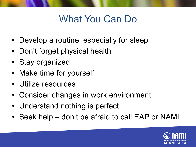## What You Can Do

- Develop a routine, especially for sleep
- Don't forget physical health
- Stay organized
- Make time for yourself
- Utilize resources
- Consider changes in work environment
- Understand nothing is perfect
- Seek help don't be afraid to call EAP or NAMI

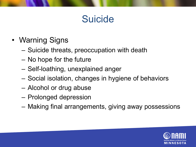### **Suicide**

- Warning Signs
	- Suicide threats, preoccupation with death
	- No hope for the future
	- Self-loathing, unexplained anger
	- Social isolation, changes in hygiene of behaviors
	- Alcohol or drug abuse
	- Prolonged depression
	- Making final arrangements, giving away possessions

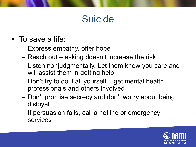## Suicide

- To save a life:
	- Express empathy, offer hope
	- Reach out asking doesn't increase the risk
	- Listen nonjudgmentally. Let them know you care and will assist them in getting help
	- Don't try to do it all yourself get mental health professionals and others involved
	- Don't promise secrecy and don't worry about being disloyal
	- If persuasion fails, call a hotline or emergency services

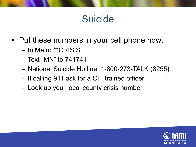#### Suicide

- Put these numbers in your cell phone now:
	- In Metro \*\*CRISIS
	- Text "MN" to 741741
	- National Suicide Hotline: 1-800-273-TALK (8255)
	- If calling 911 ask for a CIT trained officer
	- Look up your local county crisis number

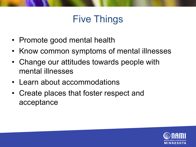## Five Things

- Promote good mental health
- Know common symptoms of mental illnesses
- Change our attitudes towards people with mental illnesses
- Learn about accommodations
- Create places that foster respect and acceptance

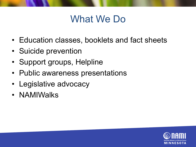#### What We Do

- Education classes, booklets and fact sheets
- Suicide prevention
- Support groups, Helpline
- Public awareness presentations
- Legislative advocacy
- NAMIWalks

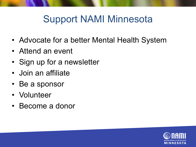#### Support NAMI Minnesota

- Advocate for a better Mental Health System
- Attend an event
- Sign up for a newsletter
- Join an affiliate
- Be a sponsor
- Volunteer
- Become a donor